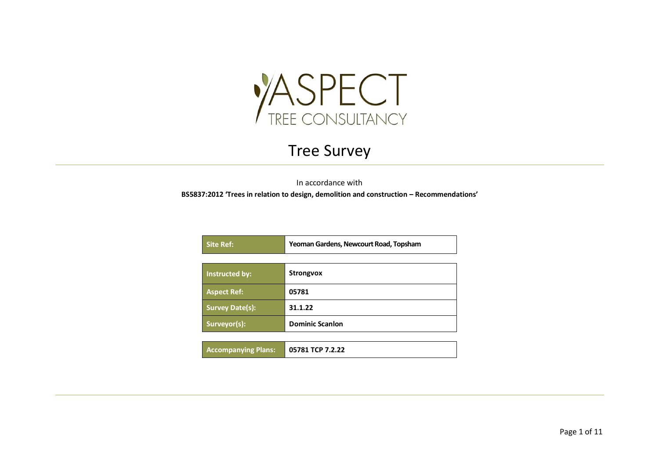

## Tree Survey

In accordance with

**BS5837:2012 'Trees in relation to design, demolition and construction – Recommendations'**

| <b>Site Ref:</b>       | Yeoman Gardens, Newcourt Road, Topsham |  |  |  |  |  |  |
|------------------------|----------------------------------------|--|--|--|--|--|--|
|                        |                                        |  |  |  |  |  |  |
| Instructed by:         | <b>Strongvox</b>                       |  |  |  |  |  |  |
| <b>Aspect Ref:</b>     | 05781                                  |  |  |  |  |  |  |
| <b>Survey Date(s):</b> | 31.1.22                                |  |  |  |  |  |  |
| Surveyor(s):           | <b>Dominic Scanlon</b>                 |  |  |  |  |  |  |

| <b>Accompanying Plans:</b> | 05781 TCP 7.2.22 |
|----------------------------|------------------|
|----------------------------|------------------|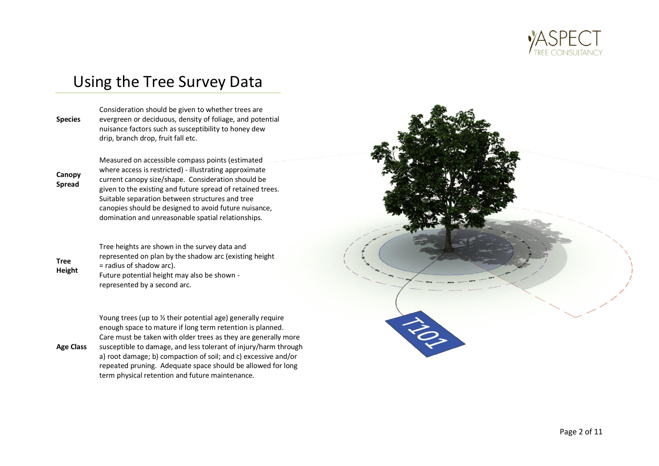

## Using the Tree Survey Data

**Species** Consideration should be given to whether trees are evergreen or deciduous, density of foliage, and potential nuisance factors such as susceptibility to honey dew drip, branch drop, fruit fall etc.

**Canopy Spread**

where access is restricted) - illustrating approximate current canopy size/shape. Consideration should be given to the existing and future spread of retained trees. Suitable separation between structures and tree canopies should be designed to avoid future nuisance, domination and unreasonable spatial relationships.

Measured on accessible compass points (estimated

**Tree Height** Tree heights are shown in the survey data and represented on plan by the shadow arc (existing height = radius of shadow arc). Future potential height may also be shown represented by a second arc.

**Age Class** Young trees (up to % their potential age) generally require enough space to mature if long term retention is planned. Care must be taken with older trees as they are generally more susceptible to damage, and less tolerant of injury/harm through a) root damage; b) compaction of soil; and c) excessive and/or repeated pruning. Adequate space should be allowed for long term physical retention and future maintenance.

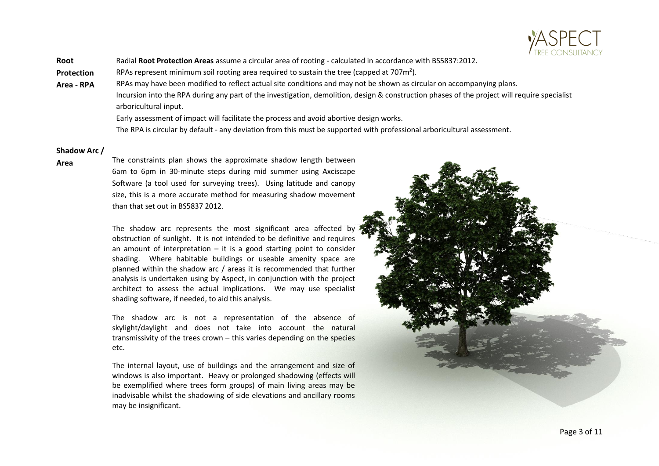

**Root**  Radial **Root Protection Areas** assume a circular area of rooting - calculated in accordance with BS5837:2012.

**Protection**  RPAs represent minimum soil rooting area required to sustain the tree (capped at 707 $m^2$ ).

**Area - RPA** RPAs may have been modified to reflect actual site conditions and may not be shown as circular on accompanying plans. Incursion into the RPA during any part of the investigation, demolition, design & construction phases of the project will require specialist arboricultural input.

Early assessment of impact will facilitate the process and avoid abortive design works.

The RPA is circular by default - any deviation from this must be supported with professional arboricultural assessment.

### **Shadow Arc /**

**Area** The constraints plan shows the approximate shadow length between 6am to 6pm in 30-minute steps during mid summer using Axciscape Software (a tool used for surveying trees). Using latitude and canopy size, this is a more accurate method for measuring shadow movement than that set out in BS5837 2012.

> The shadow arc represents the most significant area affected by obstruction of sunlight. It is not intended to be definitive and requires an amount of interpretation  $-$  it is a good starting point to consider shading. Where habitable buildings or useable amenity space are planned within the shadow arc / areas it is recommended that further analysis is undertaken using by Aspect, in conjunction with the project architect to assess the actual implications. We may use specialist shading software, if needed, to aid this analysis.

> The shadow arc is not a representation of the absence of skylight/daylight and does not take into account the natural transmissivity of the trees crown – this varies depending on the species etc.

> The internal layout, use of buildings and the arrangement and size of windows is also important. Heavy or prolonged shadowing (effects will be exemplified where trees form groups) of main living areas may be inadvisable whilst the shadowing of side elevations and ancillary rooms may be insignificant.

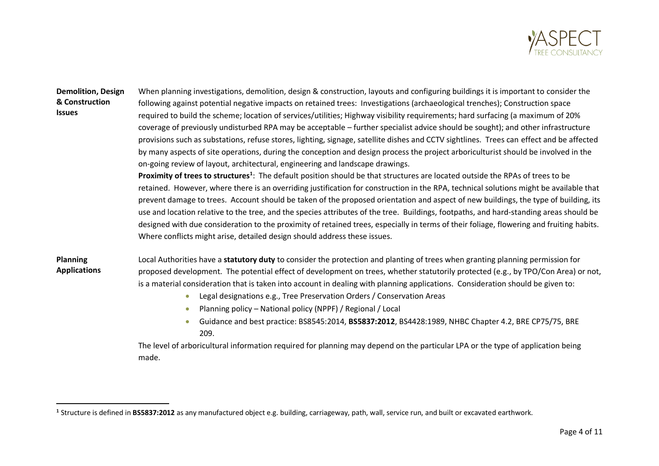

### **Demolition, Design & Construction Issues**

When planning investigations, demolition, design & construction, layouts and configuring buildings it is important to consider the following against potential negative impacts on retained trees: Investigations (archaeological trenches); Construction space required to build the scheme; location of services/utilities; Highway visibility requirements; hard surfacing (a maximum of 20% coverage of previously undisturbed RPA may be acceptable – further specialist advice should be sought); and other infrastructure provisions such as substations, refuse stores, lighting, signage, satellite dishes and CCTV sightlines. Trees can effect and be affected by many aspects of site operations, during the conception and design process the project arboriculturist should be involved in the on-going review of layout, architectural, engineering and landscape drawings.

**Proximity of trees to structures<sup>1</sup>** : The default position should be that structures are located outside the RPAs of trees to be retained. However, where there is an overriding justification for construction in the RPA, technical solutions might be available that prevent damage to trees. Account should be taken of the proposed orientation and aspect of new buildings, the type of building, its use and location relative to the tree, and the species attributes of the tree. Buildings, footpaths, and hard-standing areas should be designed with due consideration to the proximity of retained trees, especially in terms of their foliage, flowering and fruiting habits. Where conflicts might arise, detailed design should address these issues.

**Planning Applications** Local Authorities have a **statutory duty** to consider the protection and planting of trees when granting planning permission for proposed development. The potential effect of development on trees, whether statutorily protected (e.g., by TPO/Con Area) or not, is a material consideration that is taken into account in dealing with planning applications. Consideration should be given to:

- Legal designations e.g., Tree Preservation Orders / Conservation Areas
- Planning policy National policy (NPPF) / Regional / Local
- Guidance and best practice: BS8545:2014, **BS5837:2012**, BS4428:1989, NHBC Chapter 4.2, BRE CP75/75, BRE 209.

The level of arboricultural information required for planning may depend on the particular LPA or the type of application being made.

**<sup>1</sup>** Structure is defined in **BS5837:2012** as any manufactured object e.g. building, carriageway, path, wall, service run, and built or excavated earthwork.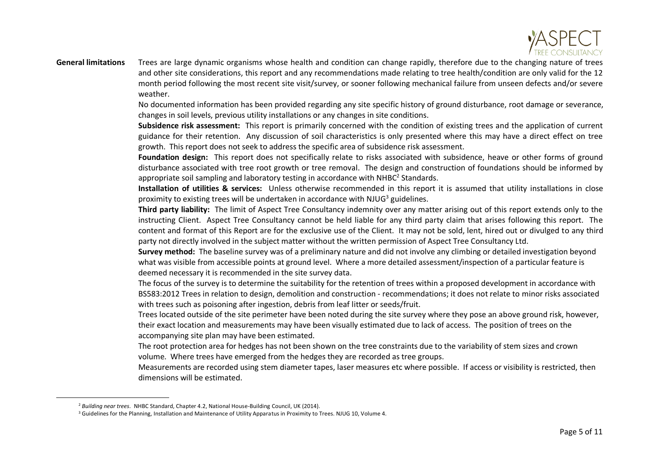

**General limitations** Trees are large dynamic organisms whose health and condition can change rapidly, therefore due to the changing nature of trees and other site considerations, this report and any recommendations made relating to tree health/condition are only valid for the 12 month period following the most recent site visit/survey, or sooner following mechanical failure from unseen defects and/or severe weather.

> No documented information has been provided regarding any site specific history of ground disturbance, root damage or severance, changes in soil levels, previous utility installations or any changes in site conditions.

> **Subsidence risk assessment:** This report is primarily concerned with the condition of existing trees and the application of current guidance for their retention. Any discussion of soil characteristics is only presented where this may have a direct effect on tree growth. This report does not seek to address the specific area of subsidence risk assessment.

> **Foundation design:** This report does not specifically relate to risks associated with subsidence, heave or other forms of ground disturbance associated with tree root growth or tree removal. The design and construction of foundations should be informed by appropriate soil sampling and laboratory testing in accordance with NHBC<sup>2</sup> Standards.

> **Installation of utilities & services:** Unless otherwise recommended in this report it is assumed that utility installations in close proximity to existing trees will be undertaken in accordance with NJUG<sup>3</sup> guidelines.

> **Third party liability:** The limit of Aspect Tree Consultancy indemnity over any matter arising out of this report extends only to the instructing Client. Aspect Tree Consultancy cannot be held liable for any third party claim that arises following this report. The content and format of this Report are for the exclusive use of the Client. It may not be sold, lent, hired out or divulged to any third party not directly involved in the subject matter without the written permission of Aspect Tree Consultancy Ltd.

**Survey method:** The baseline survey was of a preliminary nature and did not involve any climbing or detailed investigation beyond what was visible from accessible points at ground level. Where a more detailed assessment/inspection of a particular feature is deemed necessary it is recommended in the site survey data.

The focus of the survey is to determine the suitability for the retention of trees within a proposed development in accordance with BS583:2012 Trees in relation to design, demolition and construction - recommendations; it does not relate to minor risks associated with trees such as poisoning after ingestion, debris from leaf litter or seeds/fruit.

Trees located outside of the site perimeter have been noted during the site survey where they pose an above ground risk, however, their exact location and measurements may have been visually estimated due to lack of access. The position of trees on the accompanying site plan may have been estimated.

The root protection area for hedges has not been shown on the tree constraints due to the variability of stem sizes and crown volume. Where trees have emerged from the hedges they are recorded as tree groups.

Measurements are recorded using stem diameter tapes, laser measures etc where possible. If access or visibility is restricted, then dimensions will be estimated.

<sup>2</sup> *Building near trees.* NHBC Standard, Chapter 4.2, National House-Building Council, UK (2014).

<sup>&</sup>lt;sup>3</sup> Guidelines for the Planning, Installation and Maintenance of Utility Apparatus in Proximity to Trees. NJUG 10, Volume 4.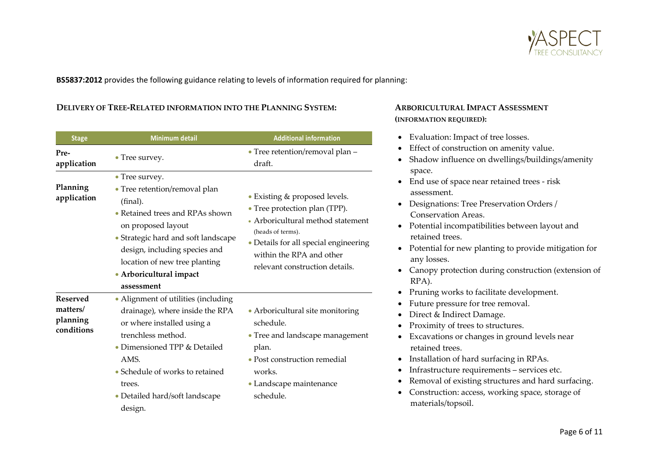

**BS5837:2012** provides the following guidance relating to levels of information required for planning:

### **DELIVERY OF TREE-RELATED INFORMATION INTO THE PLANNING SYSTEM: ARBORICULTURAL IMPACT ASSESSMENT**

| <b>Stage</b>                                          | Minimum detail                                                                                                                                                                                                                                                         | <b>Additional information</b>                                                                                                                                                                                                   |
|-------------------------------------------------------|------------------------------------------------------------------------------------------------------------------------------------------------------------------------------------------------------------------------------------------------------------------------|---------------------------------------------------------------------------------------------------------------------------------------------------------------------------------------------------------------------------------|
| Pre-                                                  |                                                                                                                                                                                                                                                                        | • Tree retention/removal plan -                                                                                                                                                                                                 |
| application                                           | • Tree survey.                                                                                                                                                                                                                                                         | draft.                                                                                                                                                                                                                          |
| Planning<br>application                               | • Tree survey.<br>• Tree retention/removal plan<br>(final).<br>• Retained trees and RPAs shown<br>on proposed layout<br>• Strategic hard and soft landscape<br>design, including species and<br>location of new tree planting<br>• Arboricultural impact<br>assessment | • Existing & proposed levels.<br>• Tree protection plan (TPP).<br>• Arboricultural method statement<br>(heads of terms).<br>• Details for all special engineering<br>within the RPA and other<br>relevant construction details. |
| <b>Reserved</b><br>matters/<br>planning<br>conditions | • Alignment of utilities (including<br>drainage), where inside the RPA<br>or where installed using a<br>trenchless method.<br>• Dimensioned TPP & Detailed<br>AMS.<br>• Schedule of works to retained<br>trees.<br>• Detailed hard/soft landscape<br>design.           | • Arboricultural site monitoring<br>schedule.<br>• Tree and landscape management<br>plan.<br>• Post construction remedial<br>works.<br>• Landscape maintenance<br>schedule.                                                     |

# **(INFORMATION REQUIRED):**

- Evaluation: Impact of tree losses.
- Effect of construction on amenity value.
- Shadow influence on dwellings/buildings/amenity space.
- End use of space near retained trees risk assessment.
- Designations: Tree Preservation Orders / Conservation Areas.
- Potential incompatibilities between layout and retained trees.
- Potential for new planting to provide mitigation for any losses.
- Canopy protection during construction (extension of RPA).
- Pruning works to facilitate development.
- Future pressure for tree removal.
- Direct & Indirect Damage.
- Proximity of trees to structures.
- Excavations or changes in ground levels near retained trees.
- Installation of hard surfacing in RPAs.
- Infrastructure requirements services etc.
- Removal of existing structures and hard surfacing.
- Construction: access, working space, storage of materials/topsoil.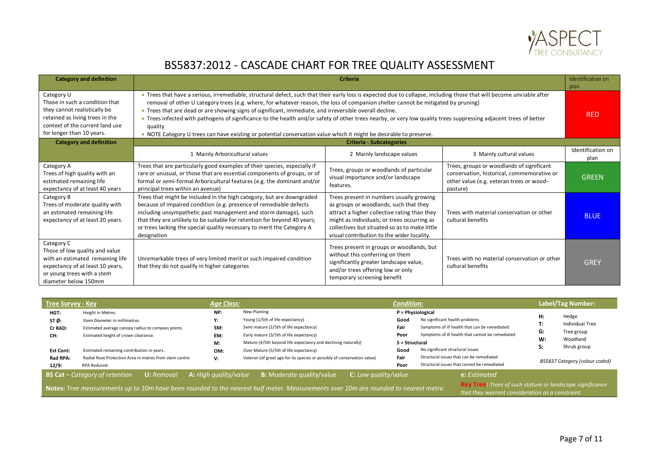

## BS5837:2012 - CASCADE CHART FOR TREE QUALITY ASSESSMENT

| <b>Category and definition</b>                                                                                                                                                  | <b>Criteria</b>                                                                                                                                                                                                                                                                                                                                                                                                                                                                                                                                                                                                                                                                                                             |                                                                                                                                                                                                                                                                                  |                                                                                                                                                 |                           |  |  |  |  |  |  |
|---------------------------------------------------------------------------------------------------------------------------------------------------------------------------------|-----------------------------------------------------------------------------------------------------------------------------------------------------------------------------------------------------------------------------------------------------------------------------------------------------------------------------------------------------------------------------------------------------------------------------------------------------------------------------------------------------------------------------------------------------------------------------------------------------------------------------------------------------------------------------------------------------------------------------|----------------------------------------------------------------------------------------------------------------------------------------------------------------------------------------------------------------------------------------------------------------------------------|-------------------------------------------------------------------------------------------------------------------------------------------------|---------------------------|--|--|--|--|--|--|
| Category U<br>Those in such a condition that<br>they cannot realistically be<br>retained as living trees in the<br>context of the current land use<br>for longer than 10 years. | . Trees that have a serious, irremediable, structural defect, such that their early loss is expected due to collapse, including those that will become unviable after<br>removal of other U category trees (e.g. where, for whatever reason, the loss of companion shelter cannot be mitigated by pruning)<br>. Trees that are dead or are showing signs of significant, immediate, and irreversible overall decline.<br>• Trees infected with pathogens of significance to the health and/or safety of other trees nearby, or very low quality trees suppressing adjacent trees of better<br>quality<br>. NOTE Category U trees can have existing or potential conservation value which it might be desirable to preserve. |                                                                                                                                                                                                                                                                                  |                                                                                                                                                 |                           |  |  |  |  |  |  |
| <b>Category and definition</b>                                                                                                                                                  |                                                                                                                                                                                                                                                                                                                                                                                                                                                                                                                                                                                                                                                                                                                             | <b>Criteria - Subcategories</b>                                                                                                                                                                                                                                                  |                                                                                                                                                 |                           |  |  |  |  |  |  |
|                                                                                                                                                                                 | 1 Mainly Arboricultural values                                                                                                                                                                                                                                                                                                                                                                                                                                                                                                                                                                                                                                                                                              | 2 Mainly landscape values                                                                                                                                                                                                                                                        | 3 Mainly cultural values                                                                                                                        | Identification on<br>plan |  |  |  |  |  |  |
| Category A<br>Trees of high quality with an<br>estimated remaining life<br>expectancy of at least 40 years                                                                      | Trees that are particularly good examples of their species, especially if<br>rare or unusual, or those that are essential components of groups, or of<br>formal or semi-formal Arboricultural features (e.g. the dominant and/or<br>principal trees within an avenue)                                                                                                                                                                                                                                                                                                                                                                                                                                                       | Trees, groups or woodlands of particular<br>visual importance and/or landscape<br>features.                                                                                                                                                                                      | Trees, groups or woodlands of significant<br>conservation, historical, commemorative or<br>other value (e.g. veteran trees or wood-<br>pasture) | <b>GREEN</b>              |  |  |  |  |  |  |
| Category B<br>Trees of moderate quality with<br>an estimated remaining life<br>expectancy of at least 20 years.                                                                 | Trees that might be included in the high category, but are downgraded<br>because of impaired condition (e.g. presence of remediable defects<br>including unsympathetic past management and storm damage), such<br>that they are unlikely to be suitable for retention for beyond 40 years;<br>or trees lacking the special quality necessary to merit the Category A<br>designation                                                                                                                                                                                                                                                                                                                                         | Trees present in numbers usually growing<br>as groups or woodlands, such that they<br>attract a higher collective rating than they<br>might as individuals; or trees occurring as<br>collectives but situated so as to make little<br>visual contribution to the wider locality. | Trees with material conservation or other<br>cultural benefits                                                                                  | <b>BLUE</b>               |  |  |  |  |  |  |
| Category C<br>Those of low quality and value<br>with an estimated remaining life<br>expectancy of at least 10 years,<br>or young trees with a stem<br>diameter below 150mm      | Unremarkable trees of very limited merit or such impaired condition<br>that they do not qualify in higher categories                                                                                                                                                                                                                                                                                                                                                                                                                                                                                                                                                                                                        | Trees present in groups or woodlands, but<br>without this conferring on them<br>significantly greater landscape value,<br>and/or trees offering low or only<br>temporary screening benefit                                                                                       | Trees with no material conservation or other<br>cultural benefits                                                                               | <b>GREY</b>               |  |  |  |  |  |  |

| <b>Tree Survey - Key</b>                           |                                                                                                                                                                                                | <b>Age Class:</b>                    |                                                                                                                                                                                                                                                  | <b>Condition:</b>                              |                                                                                                                                                                                              |                                         | Label/Tag Number:                                                 |
|----------------------------------------------------|------------------------------------------------------------------------------------------------------------------------------------------------------------------------------------------------|--------------------------------------|--------------------------------------------------------------------------------------------------------------------------------------------------------------------------------------------------------------------------------------------------|------------------------------------------------|----------------------------------------------------------------------------------------------------------------------------------------------------------------------------------------------|-----------------------------------------|-------------------------------------------------------------------|
| HGT:<br>STØ:<br>Cr RAD:<br>CH:<br><b>Est Cont:</b> | Height in Metres.<br>Stem Diameter in millimetres.<br>Estimated average canopy radius to compass points.<br>Estimated height of crown clearance.<br>Estimated remaining contribution in years. | NP:<br>Υ:<br>SM:<br>EM:<br>M:<br>OM: | New Planting<br>Young (1/5th of life expectancy)<br>Semi mature (2/5th of life expectancy)<br>Early mature (3/5th of life expectancy)<br>Mature (4/5th beyond life expectancy and declining naturally)<br>Over Mature (5/5th of life expectancy) | Good<br>Fair<br>Poor<br>S = Structural<br>Good | P = Physiological<br>No significant health problems<br>Symptoms of ill health that can be remediated<br>Symptoms of ill health that cannot be remediated<br>No significant structural issues | H:<br>т.<br>. .<br>G:<br>W:<br>c.<br>э. | Hedge<br>Individual Tree<br>Tree group<br>Woodland<br>Shrub group |
| Rad RPA:<br>12/9:                                  | Radial Root Protection Area in metres from stem centre.<br>RPA Reduced.                                                                                                                        | V:                                   | Veteran (of great age for its species or possibly of conservation value)                                                                                                                                                                         | Fair<br>Poor                                   | Structural issues that can be remediated<br>Structural issues that cannot be remediated                                                                                                      |                                         | BS5837 Category (colour coded)                                    |
|                                                    | <b>BS Cat</b> $-$ Category of retention<br><b>U:</b> Removal                                                                                                                                   | <b>A:</b> High quality/value         | C: Low quality/value<br><b>B:</b> Moderate quality/value<br>Notes: Tree measurements up to 10m have been rounded to the nearest half meter. Measurements over 10m are rounded to nearest metre.                                                  |                                                | e: Estimated<br><b>Key Tree:</b> Trees of such stature or landscape significance<br>that they warrant consideration as a constraint.                                                         |                                         |                                                                   |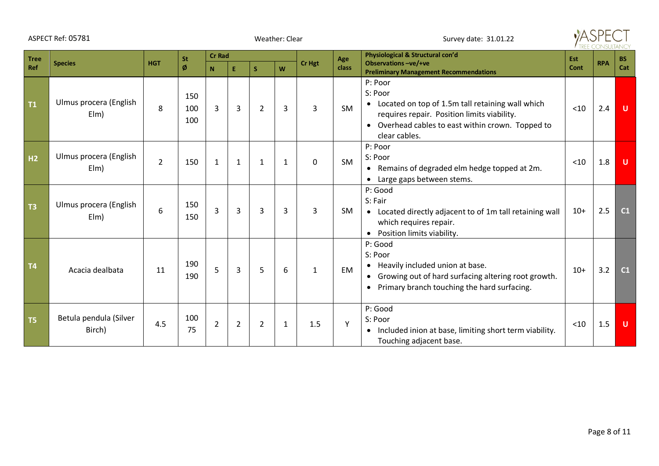|                | ASPECT Ref: 05781                |                | Weather: Clear    |                |                |                |                |                | $\Delta$ SPF<br>Survey date: 31.01.22 |                                                                                                                                                                                               |            |            |           |
|----------------|----------------------------------|----------------|-------------------|----------------|----------------|----------------|----------------|----------------|---------------------------------------|-----------------------------------------------------------------------------------------------------------------------------------------------------------------------------------------------|------------|------------|-----------|
| <b>Tree</b>    | <b>Species</b>                   | <b>HGT</b>     |                   | <b>Cr Rad</b>  |                |                | Cr Hgt         |                | Age                                   | Physiological & Structural con'd<br><b>Observations-ve/+ve</b>                                                                                                                                | <b>Est</b> | <b>RPA</b> | <b>BS</b> |
| Ref            |                                  |                | Ø                 | N              | E.             | S.             | W              |                | class                                 | <b>Preliminary Management Recommendations</b>                                                                                                                                                 | Cont       |            | Cat       |
| T1             | Ulmus procera (English<br>EIm)   | 8              | 150<br>100<br>100 | 3              | 3              | $\overline{2}$ | $\overline{3}$ | $\overline{3}$ | SM                                    | P: Poor<br>S: Poor<br>• Located on top of 1.5m tall retaining wall which<br>requires repair. Position limits viability.<br>• Overhead cables to east within crown. Topped to<br>clear cables. | $<$ 10     | 2.4        | $\cup$    |
| H <sub>2</sub> | Ulmus procera (English<br>EIm)   | $\overline{2}$ | 150               | 1              | $\mathbf{1}$   | 1              | $\mathbf{1}$   | 0              | SM                                    | P: Poor<br>S: Poor<br>• Remains of degraded elm hedge topped at 2m.<br>• Large gaps between stems.                                                                                            | < 10       | 1.8        | U         |
| T <sub>3</sub> | Ulmus procera (English<br>EIm)   | 6              | 150<br>150        | 3              | 3              | $\overline{3}$ | $\overline{3}$ | $\overline{3}$ | <b>SM</b>                             | P: Good<br>S: Fair<br>• Located directly adjacent to of 1m tall retaining wall<br>which requires repair.<br>Position limits viability.<br>$\bullet$                                           | $10+$      | 2.5        | C1        |
| T <sub>4</sub> | Acacia dealbata                  | 11             | 190<br>190        | 5              | 3              | 5              | 6              | $\mathbf{1}$   | EM                                    | P: Good<br>S: Poor<br>• Heavily included union at base.<br>Growing out of hard surfacing altering root growth.<br>$\bullet$<br>Primary branch touching the hard surfacing.<br>$\bullet$       | $10+$      | 3.2        | C1        |
| T <sub>5</sub> | Betula pendula (Silver<br>Birch) | 4.5            | 100<br>75         | $\overline{2}$ | $\overline{2}$ | $\overline{2}$ | $\mathbf{1}$   | 1.5            | Y                                     | P: Good<br>S: Poor<br>• Included inion at base, limiting short term viability.<br>Touching adjacent base.                                                                                     | < 10       | 1.5        | U         |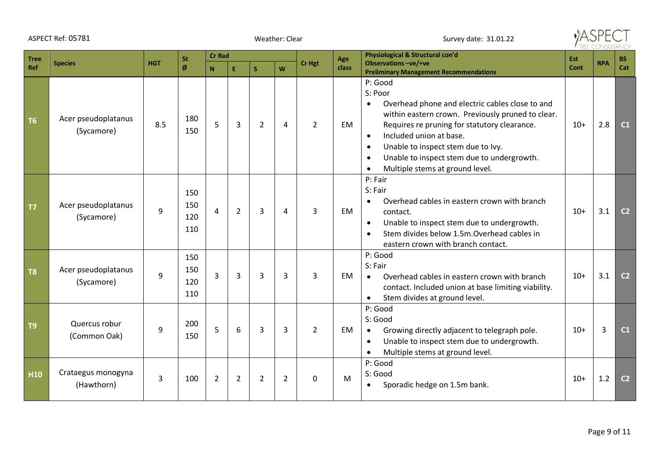|                | ASPECT Ref: 05781                 |            |                          |                | Weather: Clear |                |                | Survey date: 31.01.22 |       |                                                                                                                                                                                                                                                                                                                                                                                               |            |            |                |
|----------------|-----------------------------------|------------|--------------------------|----------------|----------------|----------------|----------------|-----------------------|-------|-----------------------------------------------------------------------------------------------------------------------------------------------------------------------------------------------------------------------------------------------------------------------------------------------------------------------------------------------------------------------------------------------|------------|------------|----------------|
| <b>Tree</b>    |                                   |            | St                       | <b>Cr Rad</b>  |                |                |                |                       | Age   | Physiological & Structural con'd                                                                                                                                                                                                                                                                                                                                                              | <b>Est</b> |            | <b>BS</b>      |
| Ref            | <b>Species</b>                    | <b>HGT</b> | ø                        | N              | E.             | S.             | W              | Cr Hgt                | class | Observations-ve/+ve<br><b>Preliminary Management Recommendations</b>                                                                                                                                                                                                                                                                                                                          | Cont       | <b>RPA</b> | Cat            |
| T <sub>6</sub> | Acer pseudoplatanus<br>(Sycamore) | 8.5        | 180<br>150               | 5              | 3              | $\overline{2}$ | 4              | $\overline{2}$        | EM    | P: Good<br>S: Poor<br>Overhead phone and electric cables close to and<br>$\bullet$<br>within eastern crown. Previously pruned to clear.<br>Requires re pruning for statutory clearance.<br>Included union at base.<br>$\bullet$<br>Unable to inspect stem due to Ivy.<br>$\bullet$<br>Unable to inspect stem due to undergrowth.<br>$\bullet$<br>Multiple stems at ground level.<br>$\bullet$ | $10+$      | 2.8        | C1             |
| <b>T7</b>      | Acer pseudoplatanus<br>(Sycamore) | 9          | 150<br>150<br>120<br>110 | $\overline{4}$ | $\overline{2}$ | 3              | 4              | $\overline{3}$        | EM    | P: Fair<br>S: Fair<br>Overhead cables in eastern crown with branch<br>$\bullet$<br>contact.<br>Unable to inspect stem due to undergrowth.<br>$\bullet$<br>Stem divides below 1.5m.Overhead cables in<br>eastern crown with branch contact.                                                                                                                                                    | $10+$      | 3.1        | C <sub>2</sub> |
| T <sub>8</sub> | Acer pseudoplatanus<br>(Sycamore) | 9          | 150<br>150<br>120<br>110 | $\overline{3}$ | 3              | 3              | 3              | 3                     | EM    | P: Good<br>S: Fair<br>Overhead cables in eastern crown with branch<br>$\bullet$<br>contact. Included union at base limiting viability.<br>Stem divides at ground level.                                                                                                                                                                                                                       | $10+$      | 3.1        | C <sub>2</sub> |
| T <sub>9</sub> | Quercus robur<br>(Common Oak)     | 9          | 200<br>150               | 5              | 6              | 3              | 3              | $\overline{2}$        | EM    | P: Good<br>S: Good<br>Growing directly adjacent to telegraph pole.<br>$\bullet$<br>Unable to inspect stem due to undergrowth.<br>$\bullet$<br>Multiple stems at ground level.<br>$\bullet$                                                                                                                                                                                                    | $10+$      | 3          | C1             |
| H10            | Crataegus monogyna<br>(Hawthorn)  | 3          | 100                      | $\overline{2}$ | $\overline{2}$ | $\overline{2}$ | $\overline{2}$ | $\Omega$              | M     | P: Good<br>S: Good<br>Sporadic hedge on 1.5m bank.                                                                                                                                                                                                                                                                                                                                            | $10+$      | 1.2        | C <sub>2</sub> |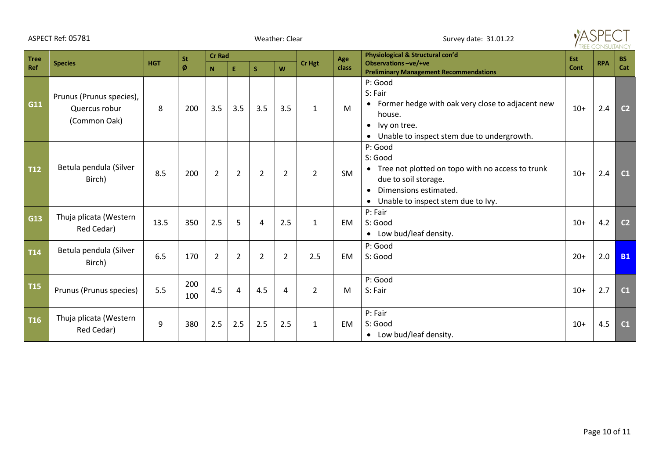|             | ASPECT Ref: 05781                                         |            |            |                |                | Weather: Clear |                |                | Survey date: 31.01.22 |                                                                                                                                                                                           |            |            |                |
|-------------|-----------------------------------------------------------|------------|------------|----------------|----------------|----------------|----------------|----------------|-----------------------|-------------------------------------------------------------------------------------------------------------------------------------------------------------------------------------------|------------|------------|----------------|
| <b>Tree</b> | <b>Species</b>                                            | <b>HGT</b> | <b>St</b>  | <b>Cr Rad</b>  |                |                |                | Cr Hgt         | Age                   | Physiological & Structural con'd<br><b>Observations-ve/+ve</b>                                                                                                                            | <b>Est</b> | <b>RPA</b> | <b>BS</b>      |
| Ref         |                                                           |            | Ø          | N.             | E.             | S              | W              |                | class                 | <b>Preliminary Management Recommendations</b>                                                                                                                                             | Cont       |            | Cat            |
| G11         | Prunus (Prunus species),<br>Quercus robur<br>(Common Oak) | 8          | 200        | 3.5            | 3.5            | 3.5            | 3.5            | $\mathbf{1}$   | M                     | P: Good<br>S: Fair<br>• Former hedge with oak very close to adjacent new<br>house.<br>• Ivy on tree.<br>• Unable to inspect stem due to undergrowth.                                      | $10+$      | 2.4        | C <sub>2</sub> |
| <b>T12</b>  | Betula pendula (Silver<br>Birch)                          | 8.5        | 200        | $\overline{2}$ | $\overline{2}$ | $\overline{2}$ | $\overline{2}$ | $\overline{2}$ | <b>SM</b>             | P: Good<br>S: Good<br>• Tree not plotted on topo with no access to trunk<br>due to soil storage.<br>Dimensions estimated.<br>$\bullet$<br>Unable to inspect stem due to Ivy.<br>$\bullet$ | $10+$      | 2.4        | C1             |
| G13         | Thuja plicata (Western<br>Red Cedar)                      | 13.5       | 350        | 2.5            | 5              | $\overline{4}$ | 2.5            | $\mathbf{1}$   | <b>EM</b>             | P: Fair<br>S: Good<br>• Low bud/leaf density.                                                                                                                                             | $10+$      | 4.2        | C <sub>2</sub> |
| <b>T14</b>  | Betula pendula (Silver<br>Birch)                          | 6.5        | 170        | $\overline{2}$ | $\overline{2}$ | $\overline{2}$ | $\overline{2}$ | 2.5            | <b>EM</b>             | P: Good<br>S: Good                                                                                                                                                                        | $20+$      | 2.0        | <b>B1</b>      |
| <b>T15</b>  | Prunus (Prunus species)                                   | 5.5        | 200<br>100 | 4.5            | $\overline{4}$ | 4.5            | 4              | 2              | M                     | P: Good<br>S: Fair                                                                                                                                                                        | $10+$      | 2.7        | C1             |
| <b>T16</b>  | Thuja plicata (Western<br>Red Cedar)                      | 9          | 380        | 2.5            | 2.5            | 2.5            | 2.5            | $\mathbf{1}$   | <b>EM</b>             | P: Fair<br>S: Good<br>• Low bud/leaf density.                                                                                                                                             | $10+$      | 4.5        | C <sub>1</sub> |